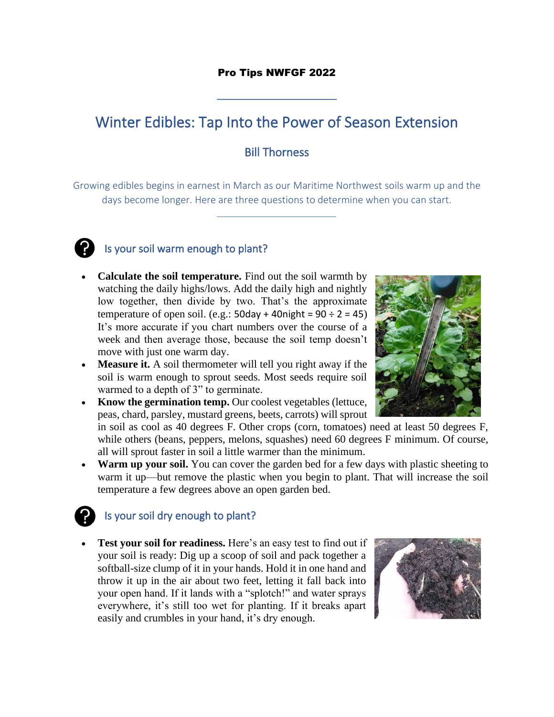#### Pro Tips NWFGF 2022

# Winter Edibles: Tap Into the Power of Season Extension

#### Bill Thorness

Growing edibles begins in earnest in March as our Maritime Northwest soils warm up and the days become longer. Here are three questions to determine when you can start.



## Is your soil warm enough to plant?

- **Calculate the soil temperature.** Find out the soil warmth by watching the daily highs/lows. Add the daily high and nightly low together, then divide by two. That's the approximate temperature of open soil. (e.g.:  $50 \text{day} + 40 \text{night} = 90 \div 2 = 45$ ) It's more accurate if you chart numbers over the course of a week and then average those, because the soil temp doesn't move with just one warm day.
- **Measure it.** A soil thermometer will tell you right away if the soil is warm enough to sprout seeds. Most seeds require soil warmed to a depth of 3" to germinate.
- **Know the germination temp.** Our coolest vegetables (lettuce, peas, chard, parsley, mustard greens, beets, carrots) will sprout

in soil as cool as 40 degrees F. Other crops (corn, tomatoes) need at least 50 degrees F, while others (beans, peppers, melons, squashes) need 60 degrees F minimum. Of course, all will sprout faster in soil a little warmer than the minimum.

• **Warm up your soil.** You can cover the garden bed for a few days with plastic sheeting to warm it up—but remove the plastic when you begin to plant. That will increase the soil temperature a few degrees above an open garden bed.

## Is your soil dry enough to plant?

• **Test your soil for readiness.** Here's an easy test to find out if your soil is ready: Dig up a scoop of soil and pack together a softball-size clump of it in your hands. Hold it in one hand and throw it up in the air about two feet, letting it fall back into your open hand. If it lands with a "splotch!" and water sprays everywhere, it's still too wet for planting. If it breaks apart easily and crumbles in your hand, it's dry enough.